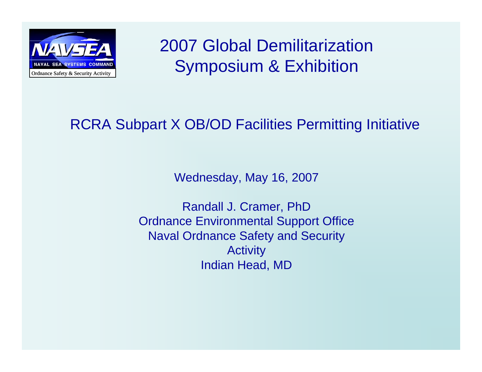

2007 Global Demilitarization Symposium & Exhibition

### RCRA Subpart X OB/OD Facilities Permitting Initiative

Wednesday, May 16, 2007

Randall J. Cramer, PhD Ordnance Environmental Support Office Naval Ordnance Safety and Security **Activity** Indian Head, MD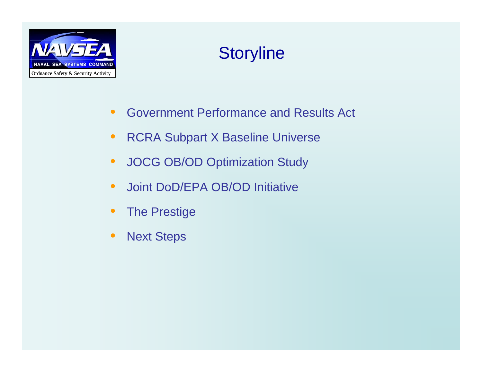

### **Storyline**

- $\bullet$ Government Performance and Results Act
- $\bullet$ RCRA Subpart X Baseline Universe
- $\bullet$ JOCG OB/OD Optimization Study
- $\bullet$ **•** Joint DoD/EPA OB/OD Initiative
- $\bullet$ The Prestige
- •Next Steps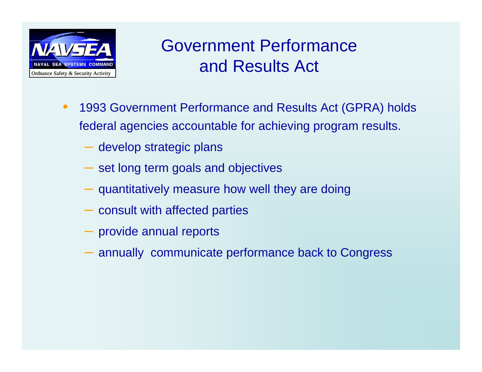

### Government Performance and Results Act

- • 1993 Government Performance and Results Act (GPRA) holds federal agencies accountable for achieving program results.
	- develop strategic plans
	- set long term goals and objectives
	- $-$  quantitatively measure how well they are doing
	- consult with affected parties
	- provide annual reports
	- annually communicate performance back to Congress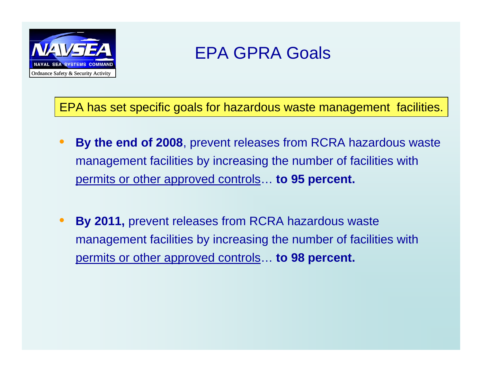

### EPA GPRA Goals

EPA has set specific goals for hazardous waste management facilities.

- $\bullet$  **By the end of 2008**, prevent releases from RCRA hazardous waste management facilities by increasing the number of facilities with permits or other approved controls… **to 95 percent.**
- $\bullet$  **By 2011,** prevent releases from RCRA hazardous waste management facilities by increasing the number of facilities with permits or other approved controls… **to 98 percent.**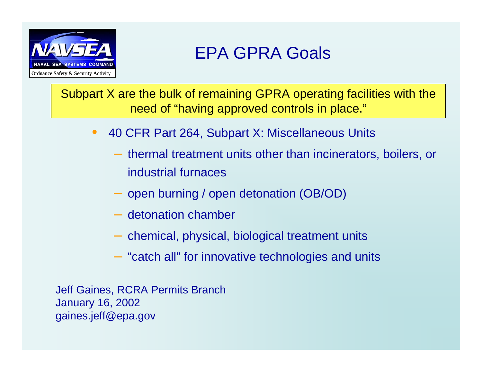

Subpart X are the bulk of remaining GPRA operating facilities with the need of "having approved controls in place."

- $\bullet$  40 CFR Part 264, Subpart X: Miscellaneous Units
	- thermal treatment units other than incinerators, boilers, or industrial furnaces
	- open burning / open detonation (OB/OD)
	- detonation chamber
	- $-$  chemical, physical, biological treatment units
	- "catch all" for innovative technologies and units

Jeff Gaines, RCRA Permits Branch January 16, 2002 gaines.jeff@epa.gov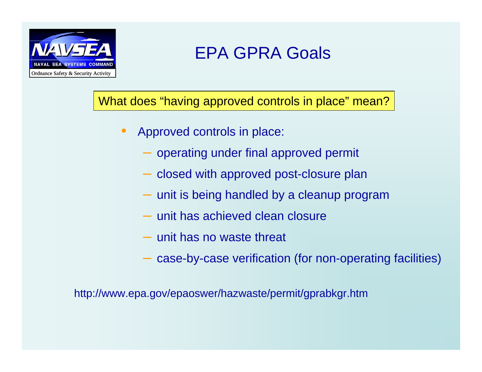

## EPA GPRA Goals

### What does "having approved controls in place" mean?

- • Approved controls in place:
	- operating under final approved permit
	- closed with approved post-closure plan
	- $-$  unit is being handled by a cleanup program
	- unit has achieved clean closure
	- unit has no waste threat
	- $-$  case-by-case verification (for non-operating facilities)

http://www.epa.gov/epaoswer/hazwaste/permit/gprabkgr.htm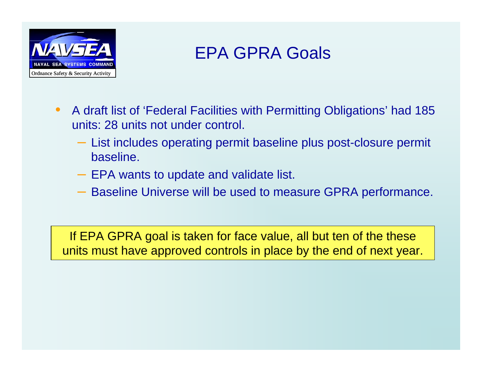

### EPA GPRA Goals

- $\bullet$  A draft list of 'Federal Facilities with Permitting Obligations' had 185 units: 28 units not under control.
	- List includes operating permit baseline plus post-closure permit baseline.
	- $-$  EPA wants to update and validate list.
	- Baseline Universe will be used to measure GPRA performance.

If EPA GPRA goal is taken for face value, all but ten of the these units must have approved controls in place by the end of next year.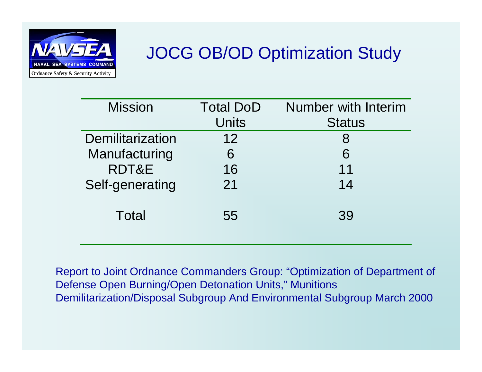

## JOCG OB/OD Optimization Study

| <b>Mission</b>   | <b>Total DoD</b> | <b>Number with Interim</b> |
|------------------|------------------|----------------------------|
|                  | <b>Units</b>     | <b>Status</b>              |
| Demilitarization | 12               | 8                          |
| Manufacturing    | 6                | 6                          |
| RDT&E            | 16               | 11                         |
| Self-generating  | 21               | 14                         |
| Total            | 55               | 39                         |

Report to Joint Ordnance Commanders Group: "Optimization of Department of Defense Open Burning/Open Detonation Units," Munitions Demilitarization/Disposal Subgroup And Environmental Subgroup March 2000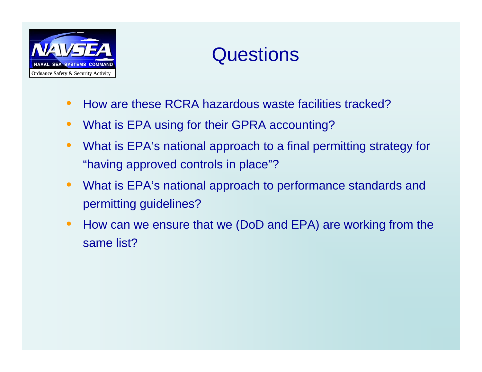

# **Questions**

- $\bullet$ How are these RCRA hazardous waste facilities tracked?
- $\bullet$ What is EPA using for their GPRA accounting?
- $\bullet$  What is EPA's national approach to a final permitting strategy for "having approved controls in place"?
- $\bullet$  What is EPA's national approach to performance standards and permitting guidelines?
- $\bullet$  How can we ensure that we (DoD and EPA) are working from the same list?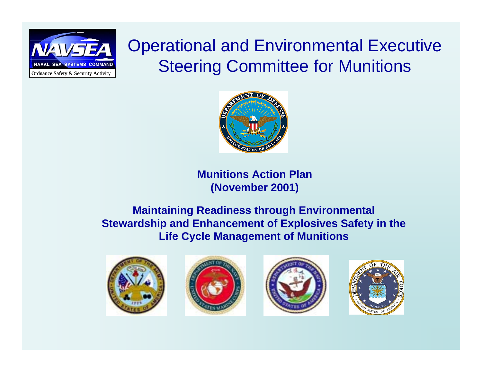

Operational and Environmental Executive Steering Committee for Munitions



**Munitions Action Plan(November 2001)**

#### **Maintaining Readiness through Environmental Stewardship and Enhancement of Explosives Safety in the Life Cycle Management of Munitions**







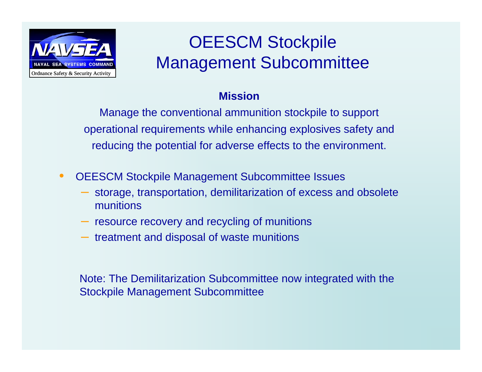

# OEESCM Stockpile Management Subcommittee

#### **Mission**

Manage the conventional ammunition stockpile to support operational requirements while enhancing explosives safety and reducing the potential for adverse effects to the environment.

- $\bullet$  OEESCM Stockpile Management Subcommittee Issues
	- storage, transportation, demilitarization of excess and obsolete munitions
	- resource recovery and recycling of munitions
	- $-$  treatment and disposal of waste munitions

Note: The Demilitarization Subcommittee now integrated with the Stockpile Management Subcommittee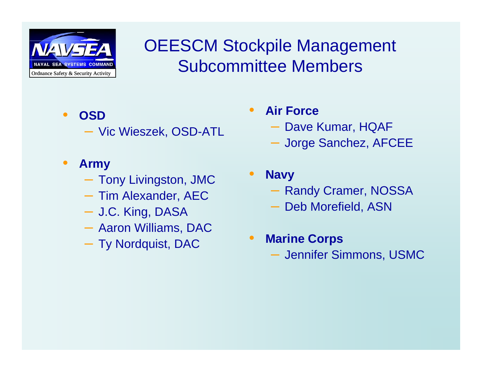

OEESCM Stockpile Management Subcommittee Members

 $\bullet$ 

- $\bullet$  **OSD**
	- Vic Wieszek, OSD-ATL
- • **Army**
	- Tony Livingston, JMC
	- Tim Alexander, AEC
	- J.C. King, DASA
	- Aaron Williams, DAC
	- Ty Nordquist, DAC
- $\bullet$  **Air Force**
	- Dave Kumar, HQAF
	- Jorge Sanchez, AFCEE
	- **Navy**  Randy Cramer, NOSSA
		- Deb Morefield, ASN
- $\bullet$  **Marine Corps** Jennifer Simmons, USMC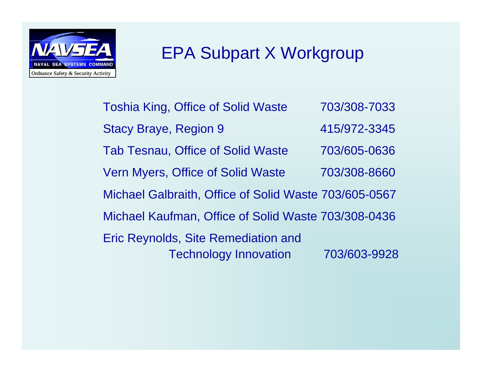

### EPA Subpart X Workgroup

Toshia King, Office of Solid Waste 703/308-7033 Stacy Braye, Region 9 415/972-3345 Tab Tesnau, Office of Solid Waste 703/605-0636 Vern Myers, Office of Solid Waste 703/308-8660 Michael Galbraith, Office of Solid Waste 703/605-0567 Michael Kaufman, Office of Solid Waste 703/308-0436 Eric Reynolds, Site Remediation and Technology Innovation 703/603-9928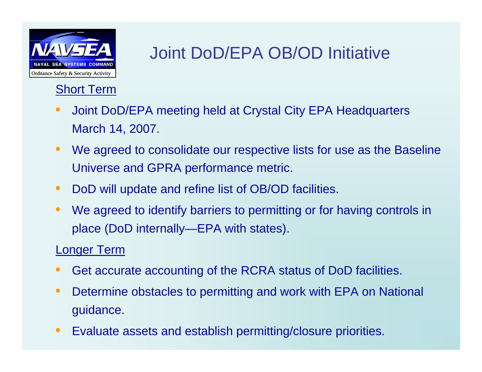

## Joint DoD/EPA OB/OD Initiative

### Short Term

- • Joint DoD/EPA meeting held at Crystal City EPA Headquarters March 14, 2007.
- $\bullet$  We agreed to consolidate our respective lists for use as the Baseline Universe and GPRA performance metric.
- •DoD will update and refine list of OB/OD facilities.
- $\bullet$  We agreed to identify barriers to permitting or for having controls in place (DoD internally—EPA with states).

#### Longer Term

- •Get accurate accounting of the RCRA status of DoD facilities.
- $\bullet$  Determine obstacles to permitting and work with EPA on National guidance.
- •Evaluate assets and establish permitting/closure priorities.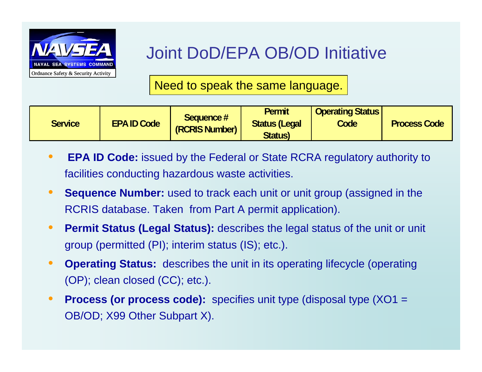

## Joint DoD/EPA OB/OD Initiative

Need to speak the same language.

| Sequence #<br><b>EPA ID Code</b><br><b>Service</b><br>(RCRIS Number) | <b>Permit</b><br><b>Status (Legal</b><br><b>Status</b> ) | <b>Operating Status</b><br><b>Code</b> | <b>Process Code</b> |
|----------------------------------------------------------------------|----------------------------------------------------------|----------------------------------------|---------------------|
|----------------------------------------------------------------------|----------------------------------------------------------|----------------------------------------|---------------------|

- • **EPA ID Code:** issued by the Federal or State RCRA regulatory authority to facilities conducting hazardous waste activities.
- • **Sequence Number:** used to track each unit or unit group (assigned in the RCRIS database. Taken from Part A permit application).
- $\bullet$  **Permit Status (Legal Status):** describes the legal status of the unit or unit group (permitted (PI); interim status (IS); etc.).
- $\bullet$  **Operating Status:** describes the unit in its operating lifecycle (operating (OP); clean closed (CC); etc.).
- $\bullet$ **Process (or process code):** specifies unit type (disposal type (XO1 = OB/OD; X99 Other Subpart X).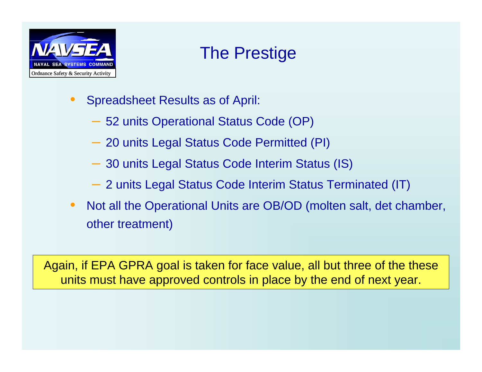

### The Prestige

- $\bullet$  Spreadsheet Results as of April:
	- 52 units Operational Status Code (OP)
	- 20 units Legal Status Code Permitted (PI)
	- 30 units Legal Status Code Interim Status (IS)
	- 2 units Legal Status Code Interim Status Terminated (IT)
- • Not all the Operational Units are OB/OD (molten salt, det chamber, other treatment)

Again, if EPA GPRA goal is taken for face value, all but three of the these units must have approved controls in place by the end of next year.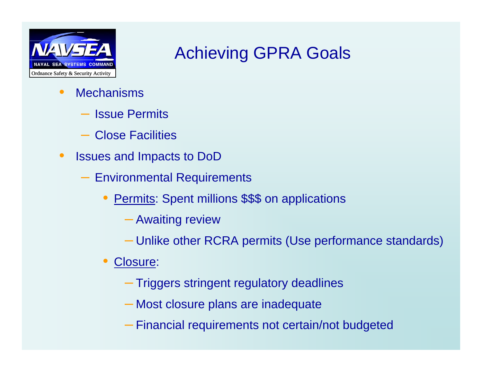

### Achieving GPRA Goals

- $\bullet$ **Mechanisms** 
	- Issue Permits
	- Close Facilities
- $\bullet$  Issues and Impacts to DoD
	- Environmental Requirements
		- $\bullet$ **Permits: Spent millions \$\$\$ on applications** 
			- Awaiting review
			- Unlike other RCRA permits (Use performance standards)
		- $\bullet$  Closure:
			- Triggers stringent regulatory deadlines
			- Most closure plans are inadequate
			- Financial requirements not certain/not budgeted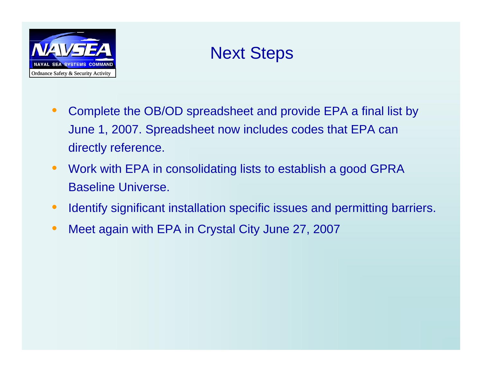

### Next Steps

- • Complete the OB/OD spreadsheet and provide EPA a final list by June 1, 2007. Spreadsheet now includes codes that EPA can directly reference.
- • Work with EPA in consolidating lists to establish a good GPRA Baseline Universe.
- •Identify significant installation specific issues and permitting barriers.
- $\bullet$ Meet again with EPA in Crystal City June 27, 2007